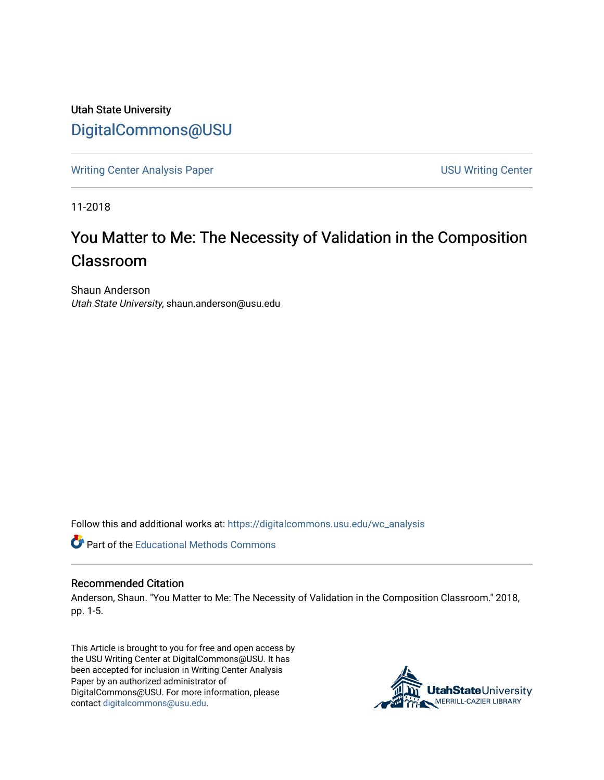Utah State University [DigitalCommons@USU](https://digitalcommons.usu.edu/)

[Writing Center Analysis Paper](https://digitalcommons.usu.edu/wc_analysis) [USU Writing Center](https://digitalcommons.usu.edu/wc) 

11-2018

## You Matter to Me: The Necessity of Validation in the Composition Classroom

Shaun Anderson Utah State University, shaun.anderson@usu.edu

Follow this and additional works at: [https://digitalcommons.usu.edu/wc\\_analysis](https://digitalcommons.usu.edu/wc_analysis?utm_source=digitalcommons.usu.edu%2Fwc_analysis%2F19&utm_medium=PDF&utm_campaign=PDFCoverPages) 

**Part of the Educational Methods Commons** 

## Recommended Citation

Anderson, Shaun. "You Matter to Me: The Necessity of Validation in the Composition Classroom." 2018, pp. 1-5.

This Article is brought to you for free and open access by the USU Writing Center at DigitalCommons@USU. It has been accepted for inclusion in Writing Center Analysis Paper by an authorized administrator of DigitalCommons@USU. For more information, please contact [digitalcommons@usu.edu](mailto:digitalcommons@usu.edu).

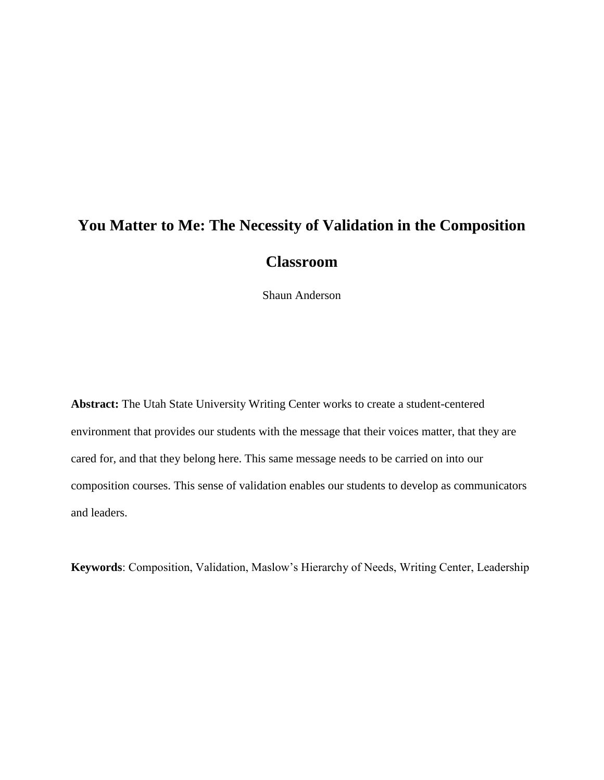## **You Matter to Me: The Necessity of Validation in the Composition Classroom**

Shaun Anderson

**Abstract:** The Utah State University Writing Center works to create a student-centered environment that provides our students with the message that their voices matter, that they are cared for, and that they belong here. This same message needs to be carried on into our composition courses. This sense of validation enables our students to develop as communicators and leaders.

**Keywords**: Composition, Validation, Maslow's Hierarchy of Needs, Writing Center, Leadership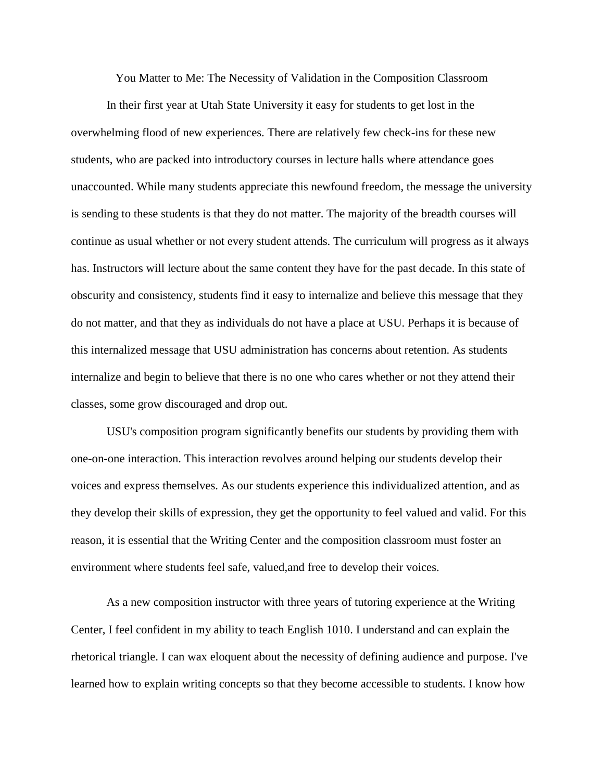You Matter to Me: The Necessity of Validation in the Composition Classroom

In their first year at Utah State University it easy for students to get lost in the overwhelming flood of new experiences. There are relatively few check-ins for these new students, who are packed into introductory courses in lecture halls where attendance goes unaccounted. While many students appreciate this newfound freedom, the message the university is sending to these students is that they do not matter. The majority of the breadth courses will continue as usual whether or not every student attends. The curriculum will progress as it always has. Instructors will lecture about the same content they have for the past decade. In this state of obscurity and consistency, students find it easy to internalize and believe this message that they do not matter, and that they as individuals do not have a place at USU. Perhaps it is because of this internalized message that USU administration has concerns about retention. As students internalize and begin to believe that there is no one who cares whether or not they attend their classes, some grow discouraged and drop out.

USU's composition program significantly benefits our students by providing them with one-on-one interaction. This interaction revolves around helping our students develop their voices and express themselves. As our students experience this individualized attention, and as they develop their skills of expression, they get the opportunity to feel valued and valid. For this reason, it is essential that the Writing Center and the composition classroom must foster an environment where students feel safe, valued,and free to develop their voices.

As a new composition instructor with three years of tutoring experience at the Writing Center, I feel confident in my ability to teach English 1010. I understand and can explain the rhetorical triangle. I can wax eloquent about the necessity of defining audience and purpose. I've learned how to explain writing concepts so that they become accessible to students. I know how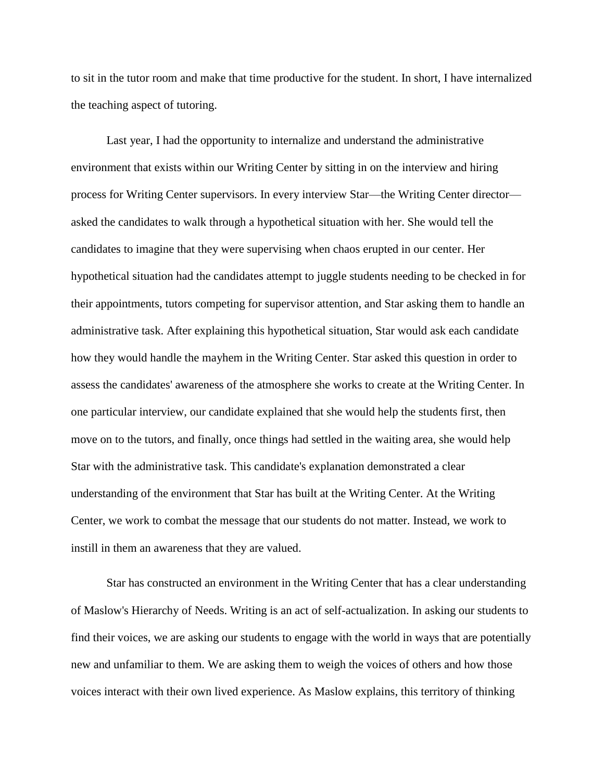to sit in the tutor room and make that time productive for the student. In short, I have internalized the teaching aspect of tutoring.

Last year, I had the opportunity to internalize and understand the administrative environment that exists within our Writing Center by sitting in on the interview and hiring process for Writing Center supervisors. In every interview Star—the Writing Center director asked the candidates to walk through a hypothetical situation with her. She would tell the candidates to imagine that they were supervising when chaos erupted in our center. Her hypothetical situation had the candidates attempt to juggle students needing to be checked in for their appointments, tutors competing for supervisor attention, and Star asking them to handle an administrative task. After explaining this hypothetical situation, Star would ask each candidate how they would handle the mayhem in the Writing Center. Star asked this question in order to assess the candidates' awareness of the atmosphere she works to create at the Writing Center. In one particular interview, our candidate explained that she would help the students first, then move on to the tutors, and finally, once things had settled in the waiting area, she would help Star with the administrative task. This candidate's explanation demonstrated a clear understanding of the environment that Star has built at the Writing Center. At the Writing Center, we work to combat the message that our students do not matter. Instead, we work to instill in them an awareness that they are valued.

Star has constructed an environment in the Writing Center that has a clear understanding of Maslow's Hierarchy of Needs. Writing is an act of self-actualization. In asking our students to find their voices, we are asking our students to engage with the world in ways that are potentially new and unfamiliar to them. We are asking them to weigh the voices of others and how those voices interact with their own lived experience. As Maslow explains, this territory of thinking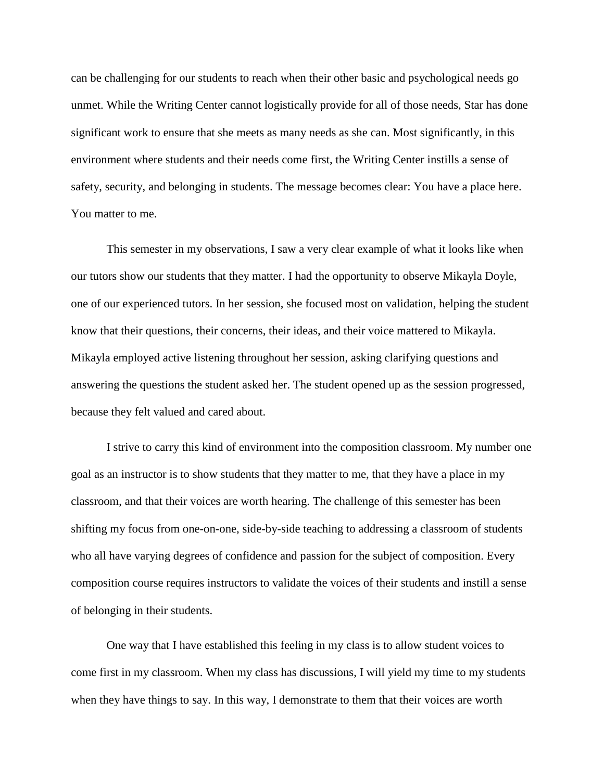can be challenging for our students to reach when their other basic and psychological needs go unmet. While the Writing Center cannot logistically provide for all of those needs, Star has done significant work to ensure that she meets as many needs as she can. Most significantly, in this environment where students and their needs come first, the Writing Center instills a sense of safety, security, and belonging in students. The message becomes clear: You have a place here. You matter to me.

This semester in my observations, I saw a very clear example of what it looks like when our tutors show our students that they matter. I had the opportunity to observe Mikayla Doyle, one of our experienced tutors. In her session, she focused most on validation, helping the student know that their questions, their concerns, their ideas, and their voice mattered to Mikayla. Mikayla employed active listening throughout her session, asking clarifying questions and answering the questions the student asked her. The student opened up as the session progressed, because they felt valued and cared about.

I strive to carry this kind of environment into the composition classroom. My number one goal as an instructor is to show students that they matter to me, that they have a place in my classroom, and that their voices are worth hearing. The challenge of this semester has been shifting my focus from one-on-one, side-by-side teaching to addressing a classroom of students who all have varying degrees of confidence and passion for the subject of composition. Every composition course requires instructors to validate the voices of their students and instill a sense of belonging in their students.

One way that I have established this feeling in my class is to allow student voices to come first in my classroom. When my class has discussions, I will yield my time to my students when they have things to say. In this way, I demonstrate to them that their voices are worth